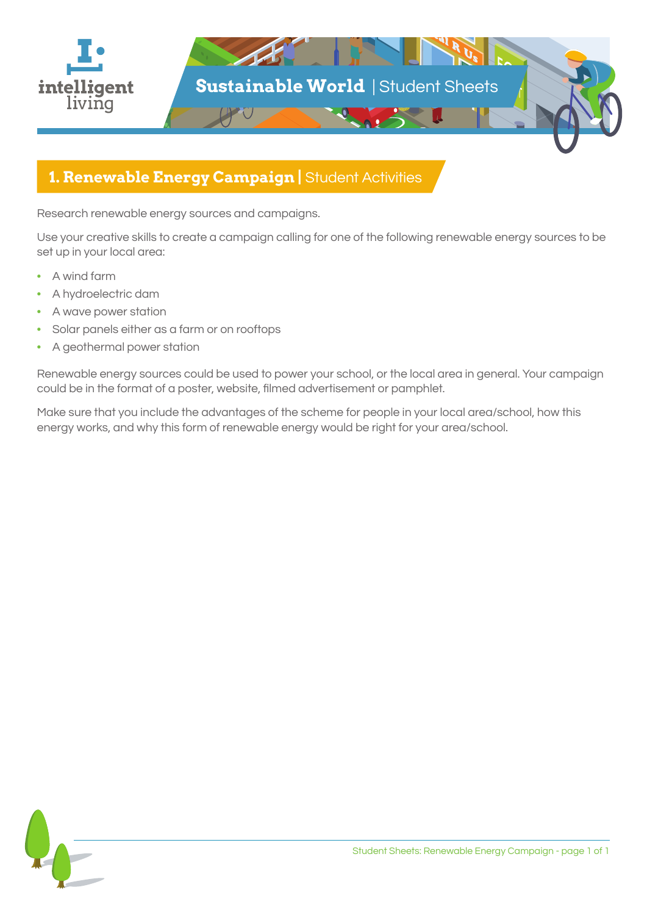

## **1. Renewable Energy Campaign |** Student Activities

Research renewable energy sources and campaigns.

Use your creative skills to create a campaign calling for one of the following renewable energy sources to be set up in your local area:

- A wind farm
- A hydroelectric dam
- A wave power station
- Solar panels either as a farm or on rooftops
- A geothermal power station

Renewable energy sources could be used to power your school, or the local area in general. Your campaign could be in the format of a poster, website, filmed advertisement or pamphlet.

Make sure that you include the advantages of the scheme for people in your local area/school, how this energy works, and why this form of renewable energy would be right for your area/school.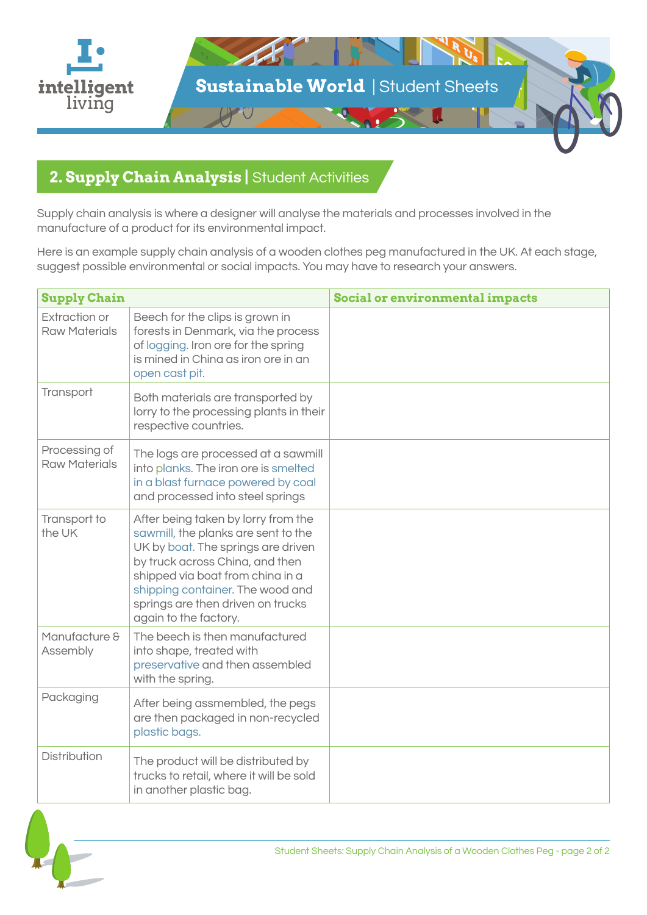

## **2. Supply Chain Analysis |** Student Activities

Supply chain analysis is where a designer will analyse the materials and processes involved in the manufacture of a product for its environmental impact.

Here is an example supply chain analysis of a wooden clothes peg manufactured in the UK. At each stage, suggest possible environmental or social impacts. You may have to research your answers.

| <b>Supply Chain</b>                          |                                                                                                                                                                                                                                                                                           | Social or environmental impacts |
|----------------------------------------------|-------------------------------------------------------------------------------------------------------------------------------------------------------------------------------------------------------------------------------------------------------------------------------------------|---------------------------------|
| <b>Extraction or</b><br><b>Raw Materials</b> | Beech for the clips is grown in<br>forests in Denmark, via the process<br>of logging. Iron ore for the spring<br>is mined in China as iron ore in an<br>open cast pit.                                                                                                                    |                                 |
| Transport                                    | Both materials are transported by<br>lorry to the processing plants in their<br>respective countries.                                                                                                                                                                                     |                                 |
| Processing of<br><b>Raw Materials</b>        | The logs are processed at a sawmill<br>into planks. The iron ore is smelted<br>in a blast furnace powered by coal<br>and processed into steel springs                                                                                                                                     |                                 |
| Transport to<br>the UK                       | After being taken by lorry from the<br>sawmill, the planks are sent to the<br>UK by boat. The springs are driven<br>by truck across China, and then<br>shipped via boat from china in a<br>shipping container. The wood and<br>springs are then driven on trucks<br>again to the factory. |                                 |
| Manufacture &<br>Assembly                    | The beech is then manufactured<br>into shape, treated with<br>preservative and then assembled<br>with the spring.                                                                                                                                                                         |                                 |
| Packaging                                    | After being assmembled, the pegs<br>are then packaged in non-recycled<br>plastic bags.                                                                                                                                                                                                    |                                 |
| <b>Distribution</b>                          | The product will be distributed by<br>trucks to retail, where it will be sold<br>in another plastic bag.                                                                                                                                                                                  |                                 |

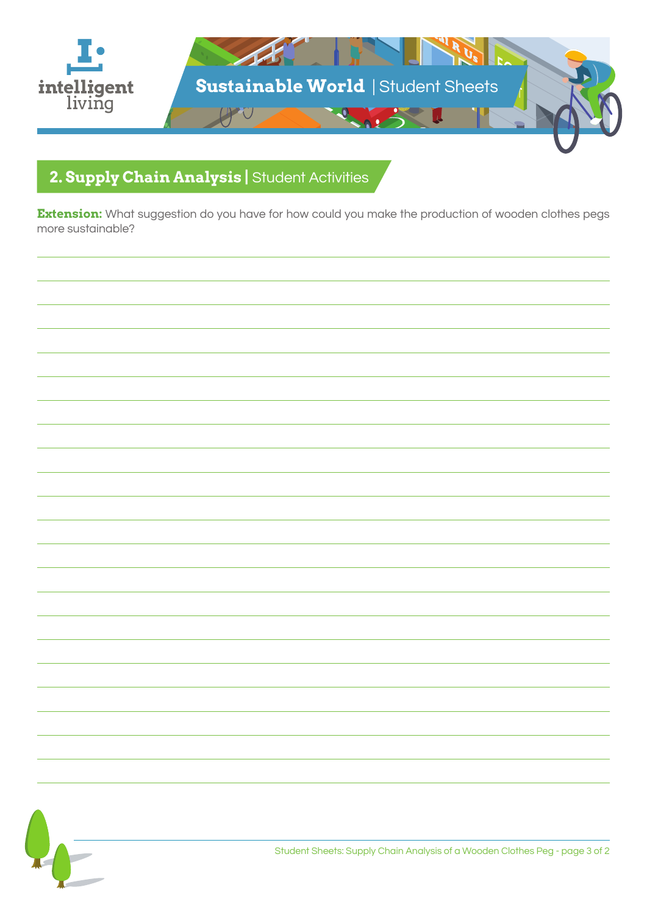

# **2. Supply Chain Analysis |** Student Activities

**Extension:** What suggestion do you have for how could you make the production of wooden clothes pegs more sustainable?

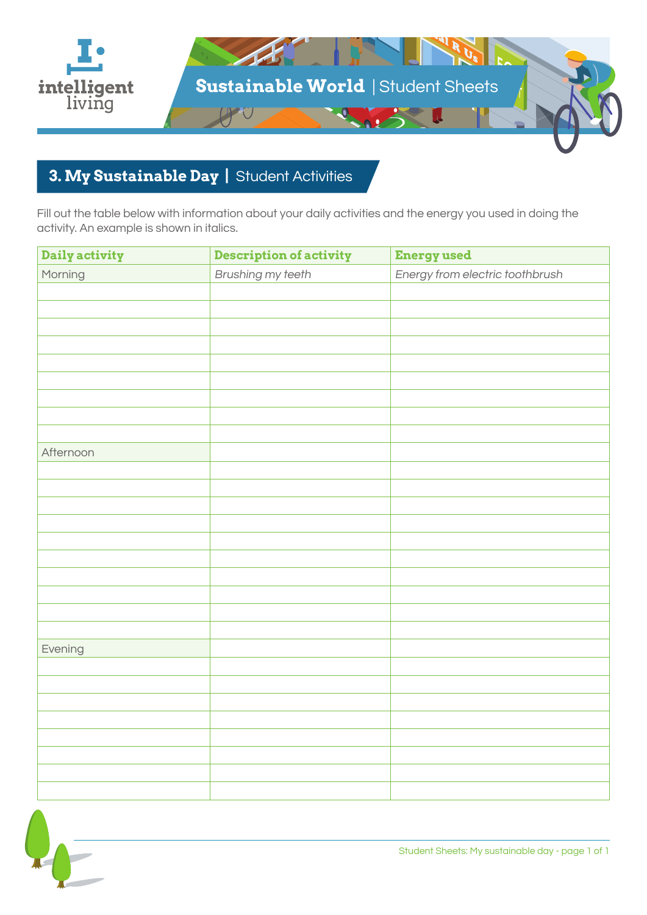

## **3. My Sustainable Day |** Student Activities

Fill out the table below with information about your daily activities and the energy you used in doing the activity. An example is shown in italics.

| Daily activity | <b>Description of activity</b> | <b>Energy used</b>              |
|----------------|--------------------------------|---------------------------------|
| Morning        | Brushing my teeth              | Energy from electric toothbrush |
|                |                                |                                 |
|                |                                |                                 |
|                |                                |                                 |
|                |                                |                                 |
|                |                                |                                 |
|                |                                |                                 |
|                |                                |                                 |
|                |                                |                                 |
|                |                                |                                 |
| Afternoon      |                                |                                 |
|                |                                |                                 |
|                |                                |                                 |
|                |                                |                                 |
|                |                                |                                 |
|                |                                |                                 |
|                |                                |                                 |
|                |                                |                                 |
|                |                                |                                 |
|                |                                |                                 |
|                |                                |                                 |
| Evening        |                                |                                 |
|                |                                |                                 |
|                |                                |                                 |
|                |                                |                                 |
|                |                                |                                 |
|                |                                |                                 |
|                |                                |                                 |
|                |                                |                                 |
|                |                                |                                 |